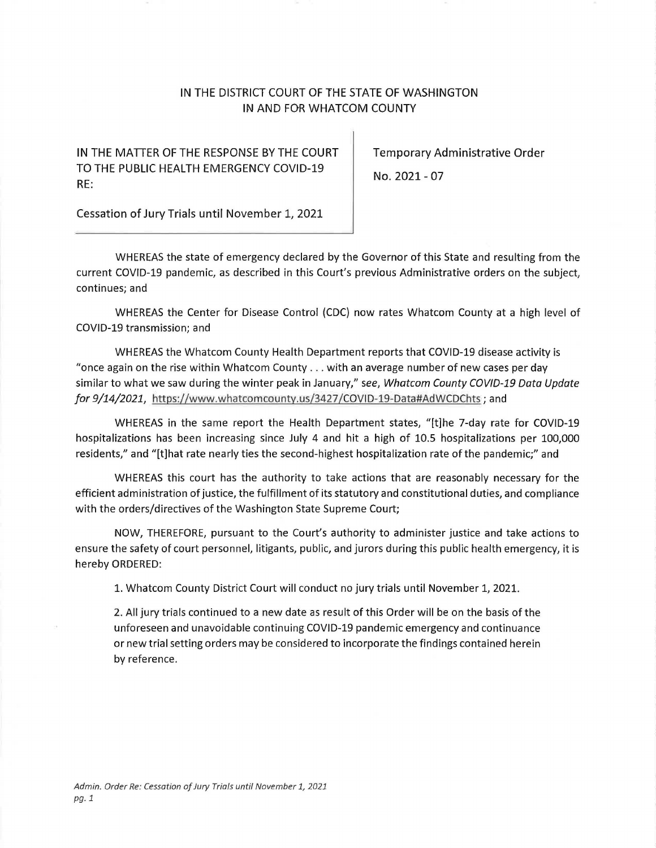## IN THE DISTRICT COURT OF THE STATE OF WASHINGTON IN AND FOR WHATCOM COUNTY

IN THE MATTER OF THE RESPONSE BY THE COURT | Temporary Administrative Order TO THE PUBLIC HEALTH EMERGENCY COVID-19 RE:

No. 2021- 07

Cessation of Jury Trials until November 1, 2021

WHEREAS the state of emergency declared by the Governor of this State and resulting from the current COVID-19 pandemic, as described in this Court's previous Administrative orders on the subject, continues; and

WHEREAS the Center for Disease Control (CDC} now rates Whatcom County at a high level of COVID-19 transmission; and

WHEREAS the Whatcom County Health Department reports that COVID-19 disease activity is "once again on the rise within Whatcom County ... with an average number of new cases per day similar to what we saw during the winter peak in January," *see, Whatcom County COV/D-19 Data Update for 9/14/2021, https://www.whatcomcounty.us/3427/COVID-19-Data#AdWCDChts; and* 

WHEREAS in the same report the Health Department states, "[t]he 7-day rate for COVID-19 hospitalizations has been increasing since July 4 and hit a high of 10.5 hospitalizations per 100,000 residents," and "[t]hat rate nearly ties the second-highest hospitalization rate of the pandemic;" and

WHEREAS this court has the authority to take actions that are reasonably necessary for the efficient administration ofjustice, the fulfillment of its statutory and constitutional duties, and compliance with the orders/directives of the Washington State Supreme Court;

NOW, THEREFORE, pursuant to the Court's authority to administer justice and take actions to ensure the safety of court personnel, litigants, public, and jurors during this public health emergency, it is hereby ORDERED:

1. Whatcom County District Court will conduct no jury trials until November 1, 2021.

2. All jury trials continued to a new date as result of this Order will be on the basis of the unforeseen and unavoidable continuing COVID-19 pandemic emergency and continuance or new trial setting orders may be considered to incorporate the findings contained herein by reference.